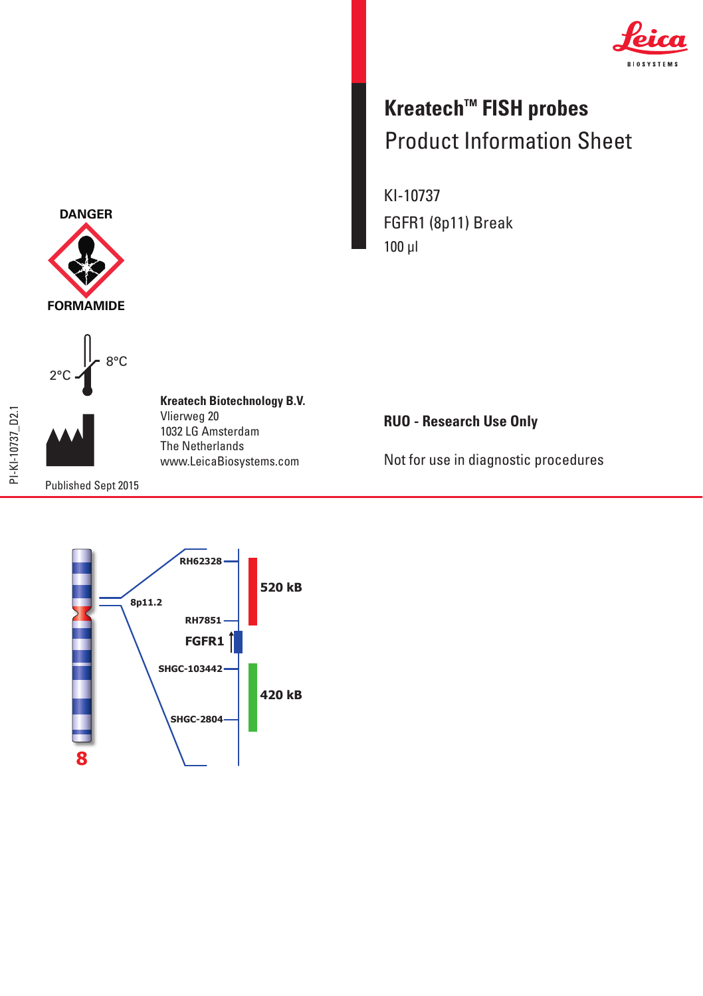

## **Kreatech™ FISH probes** Product Information Sheet Product Information Sheet

KI-10737 FGFR1 (8p11) Break 100 µl

**RUO - Research Use Only**

Not for use in diagnostic procedures



**Kreatech Biotechnology B.V. Kreatech Biotechnology B.V.**

Vlierweg 20 Vlierweg 20 1032 LG Amsterdam The Netherlands 1032 LG AmsterdamThe Netherlands www.LeicaBiosystems.com www.LeicaBiosystems.com